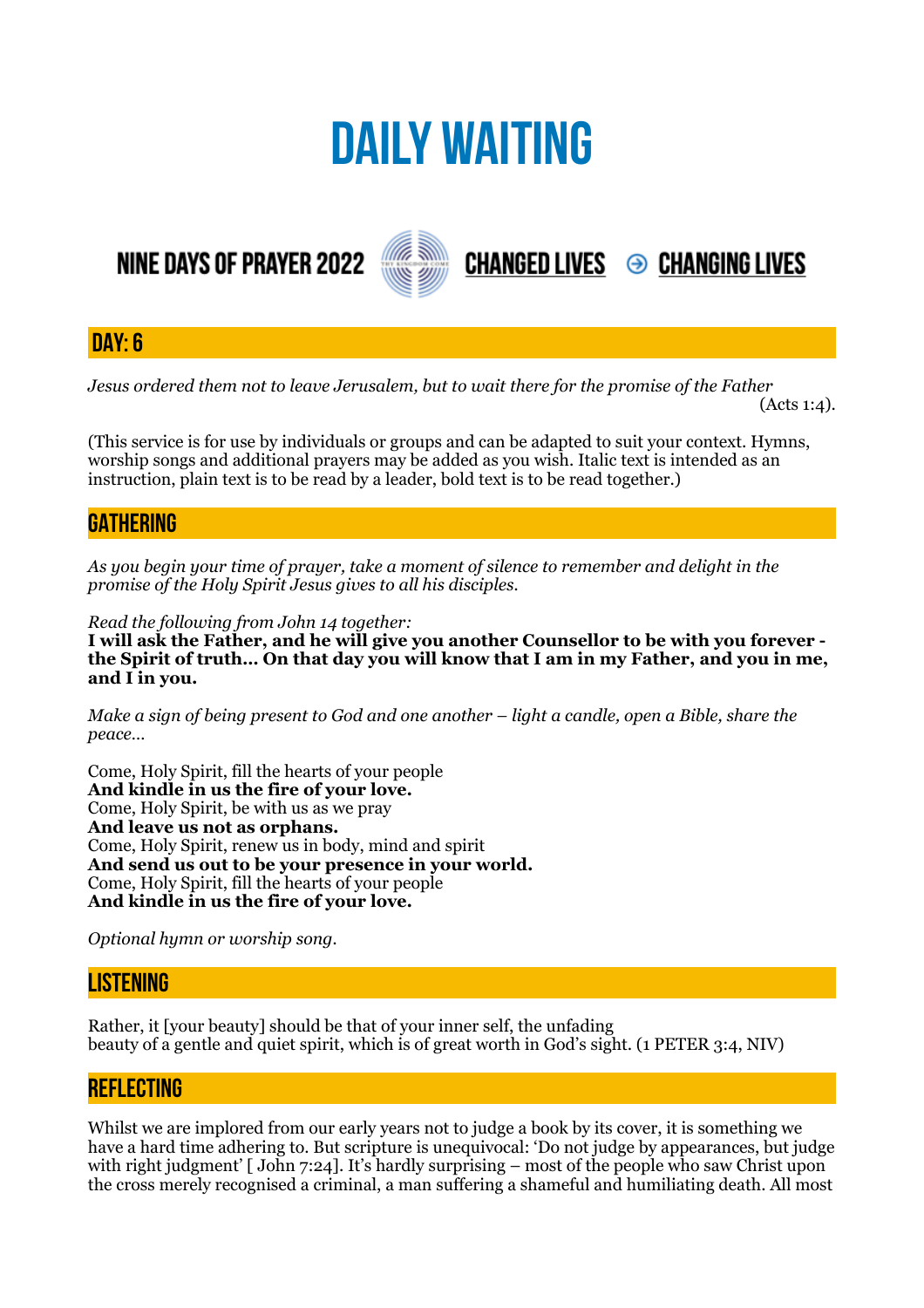# **DAILY WAITING**

## **NINE DAYS OF PRAYER 2022**



**DAY: 6**

*Jesus ordered them not to leave Jerusalem, but to wait there for the promise of the Father* 

 $(Acts 1:4)$ .

**CHANGED LIVES 
<sup>●</sup> CHANGING LIVES** 

(This service is for use by individuals or groups and can be adapted to suit your context. Hymns, worship songs and additional prayers may be added as you wish. Italic text is intended as an instruction, plain text is to be read by a leader, bold text is to be read together.)

### **GATHERING**

*As you begin your time of prayer, take a moment of silence to remember and delight in the promise of the Holy Spirit Jesus gives to all his disciples.*

*Read the following from John 14 together:* 

**I will ask the Father, and he will give you another Counsellor to be with you forever the Spirit of truth… On that day you will know that I am in my Father, and you in me, and I in you.** 

*Make a sign of being present to God and one another – light a candle, open a Bible, share the peace…* 

Come, Holy Spirit, fill the hearts of your people **And kindle in us the fire of your love.**  Come, Holy Spirit, be with us as we pray **And leave us not as orphans.**  Come, Holy Spirit, renew us in body, mind and spirit **And send us out to be your presence in your world.**  Come, Holy Spirit, fill the hearts of your people **And kindle in us the fire of your love.** 

*Optional hymn or worship song.* 

#### **LISTENING**

Rather, it [your beauty] should be that of your inner self, the unfading beauty of a gentle and quiet spirit, which is of great worth in God's sight. (1 PETER 3:4, NIV)

#### **REFLECTING**

Whilst we are implored from our early years not to judge a book by its cover, it is something we have a hard time adhering to. But scripture is unequivocal: 'Do not judge by appearances, but judge with right judgment' [John 7:24]. It's hardly surprising – most of the people who saw Christ upon the cross merely recognised a criminal, a man suffering a shameful and humiliating death. All most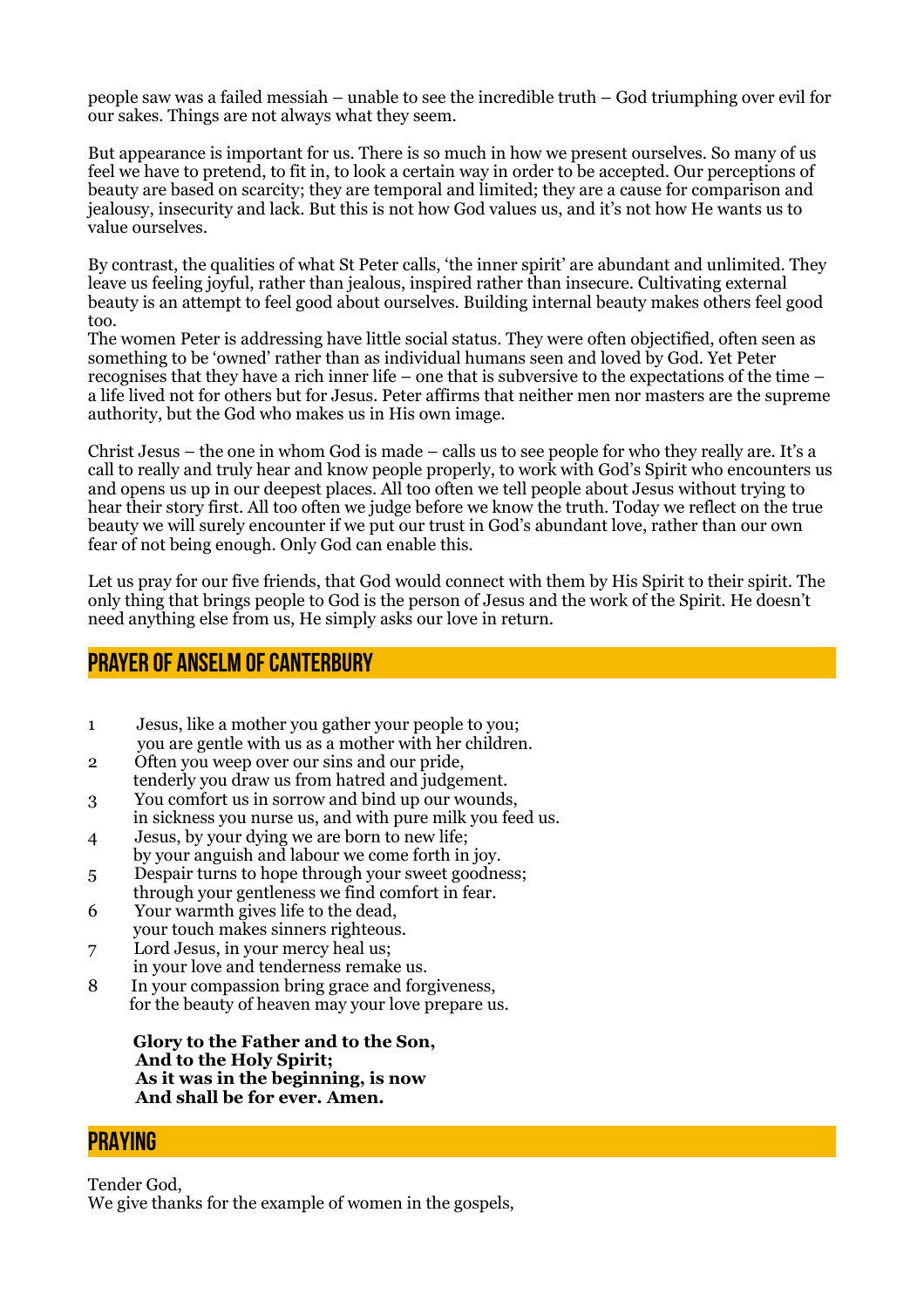people saw was a failed messiah – unable to see the incredible truth – God triumphing over evil for our sakes. Things are not always what they seem.

But appearance is important for us. There is so much in how we present ourselves. So many of us feel we have to pretend, to fit in, to look a certain way in order to be accepted. Our perceptions of beauty are based on scarcity; they are temporal and limited; they are a cause for comparison and jealousy, insecurity and lack. But this is not how God values us, and it's not how He wants us to value ourselves.

By contrast, the qualities of what St Peter calls, 'the inner spirit' are abundant and unlimited. They leave us feeling joyful, rather than jealous, inspired rather than insecure. Cultivating external beauty is an attempt to feel good about ourselves. Building internal beauty makes others feel good too.

The women Peter is addressing have little social status. They were often objectified, often seen as something to be 'owned' rather than as individual humans seen and loved by God. Yet Peter recognises that they have a rich inner life – one that is subversive to the expectations of the time – a life lived not for others but for Jesus. Peter affirms that neither men nor masters are the supreme authority, but the God who makes us in His own image.

Christ Jesus – the one in whom God is made – calls us to see people for who they really are. It's a call to really and truly hear and know people properly, to work with God's Spirit who encounters us and opens us up in our deepest places. All too often we tell people about Jesus without trying to hear their story first. All too often we judge before we know the truth. Today we reflect on the true beauty we will surely encounter if we put our trust in God's abundant love, rather than our own fear of not being enough. Only God can enable this.

Let us pray for our five friends, that God would connect with them by His Spirit to their spirit. The only thing that brings people to God is the person of Jesus and the work of the Spirit. He doesn't need anything else from us, He simply asks our love in return.

#### **Prayer of Anselm of Canterbury**

- 1 Jesus, like a mother you gather your people to you; you are gentle with us as a mother with her children.
- 2 Often you weep over our sins and our pride, tenderly you draw us from hatred and judgement.
- 3 You comfort us in sorrow and bind up our wounds, in sickness you nurse us, and with pure milk you feed us.
- 4 Jesus, by your dying we are born to new life;
- by your anguish and labour we come forth in joy. 5 Despair turns to hope through your sweet goodness;
- through your gentleness we find comfort in fear. 6 Your warmth gives life to the dead,
- your touch makes sinners righteous.
- 7 Lord Jesus, in your mercy heal us;
- in your love and tenderness remake us.<br>8 In your compassion bring grace and for
- In your compassion bring grace and forgiveness, for the beauty of heaven may your love prepare us.

 **Glory to the Father and to the Son, And to the Holy Spirit; As it was in the beginning, is now And shall be for ever. Amen.**

#### **PRAYING**

Tender God, We give thanks for the example of women in the gospels,